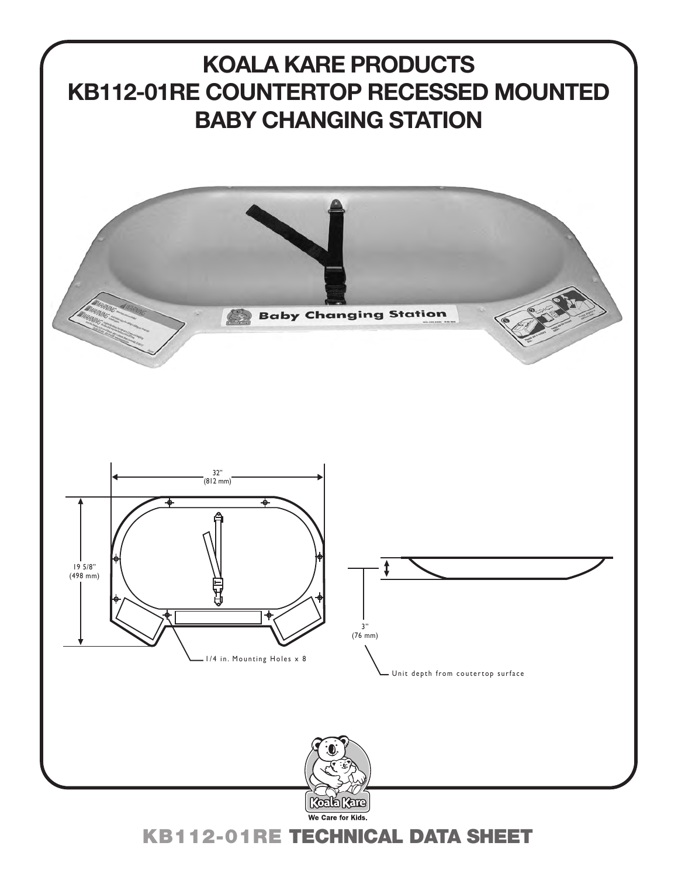

KB112-01RE TECHNICAL DATA SHEET